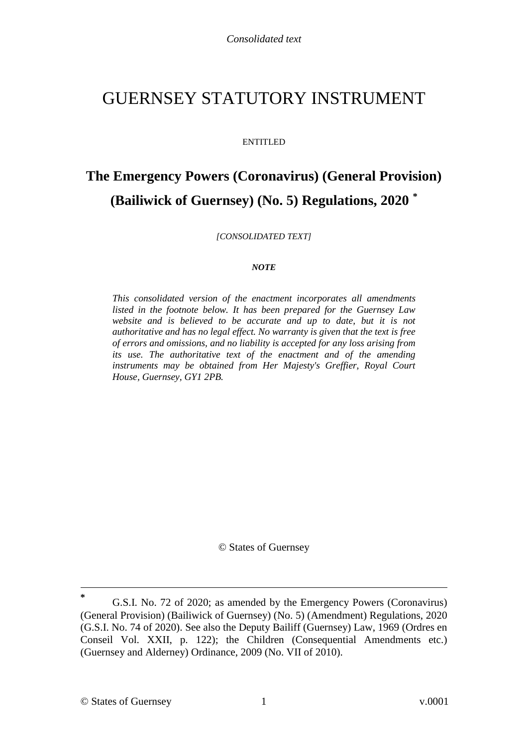## GUERNSEY STATUTORY INSTRUMENT

#### ENTITLED

# **The [Emergency Powers \(Coronavirus\) \(General Provision\)](#page-1-0)  [\(Bailiwick of Guernsey\) \(No. 5\) Regulations, 2020](#page-1-0) \***

*[CONSOLIDATED TEXT]*

#### *NOTE*

*This consolidated version of the enactment incorporates all amendments listed in the footnote below. It has been prepared for the Guernsey Law website and is believed to be accurate and up to date, but it is not authoritative and has no legal effect. No warranty is given that the text is free of errors and omissions, and no liability is accepted for any loss arising from its use. The authoritative text of the enactment and of the amending instruments may be obtained from Her Majesty's Greffier, Royal Court House, Guernsey, GY1 2PB.*

© States of Guernsey

<u>.</u>

**<sup>\*</sup>** G.S.I. No. 72 of 2020; as amended by the Emergency Powers (Coronavirus) (General Provision) (Bailiwick of Guernsey) (No. 5) (Amendment) Regulations, 2020 (G.S.I. No. 74 of 2020). See also the Deputy Bailiff (Guernsey) Law, 1969 (Ordres en Conseil Vol. XXII, p. 122); the Children (Consequential Amendments etc.) (Guernsey and Alderney) Ordinance, 2009 (No. VII of 2010).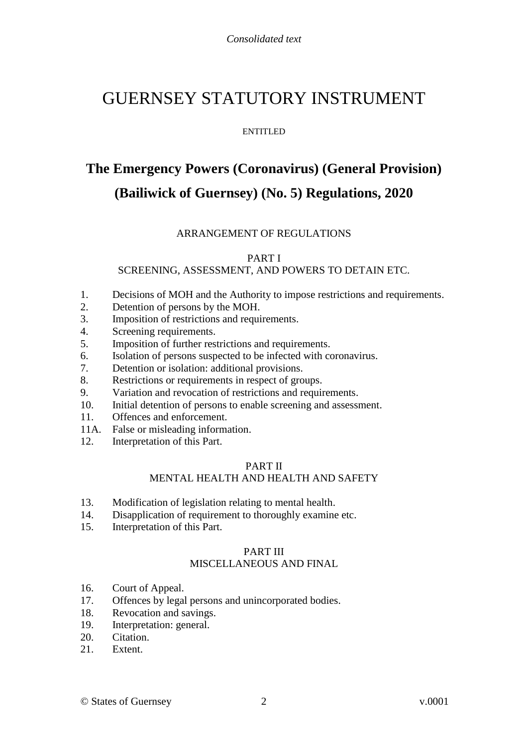## GUERNSEY STATUTORY INSTRUMENT

### ENTITLED

# <span id="page-1-0"></span>**The Emergency Powers (Coronavirus) (General Provision) (Bailiwick of Guernsey) (No. 5) Regulations, 2020**

## ARRANGEMENT OF REGULATIONS

## [PART I](#page-4-0)

## SCREENING, ASSESSMENT, AND POWERS TO DETAIN ETC.

- 1. [Decisions of MOH and the Authority to impose restrictions and requirements.](#page-4-1)
- 2. [Detention of persons by the MOH.](#page-5-0)
- 3. [Imposition of restrictions and requirements.](#page-6-0)
- 4. [Screening requirements.](#page-10-0)
- 5. [Imposition of further restrictions and requirements.](#page-11-0)
- 6. [Isolation of persons suspected to be infected with coronavirus.](#page-14-0)
- 7. [Detention or isolation: additional provisions.](#page-15-0)
- 8. [Restrictions or requirements in respect of groups.](#page-16-0)
- 9. [Variation and revocation of restrictions and requirements.](#page-18-0)
- 10. [Initial detention of persons to enable screening and assessment.](#page-19-0)
- 11. [Offences and enforcement.](#page-22-0)
- 11A. [False or misleading information.](#page-24-0)
- 12. [Interpretation of this Part.](#page-26-0)

#### [PART II](#page-29-0)

## MENTAL HEALTH AND HEALTH AND SAFETY

- 13. [Modification of legislation relating to mental health.](#page-29-1)
- 14. [Disapplication of requirement to thoroughly examine etc.](#page-29-2)
- 15. [Interpretation of this Part.](#page-31-0)

#### [PART III](#page-32-0) MISCELLANEOUS AND FINAL

- 16. [Court of Appeal.](#page-32-1)
- 17. [Offences by legal persons and unincorporated bodies.](#page-33-0)
- 18. [Revocation and savings.](#page-34-0)
- 19. [Interpretation: general.](#page-35-0)
- 20. [Citation.](#page-36-0)
- 21. [Extent.](#page-36-1)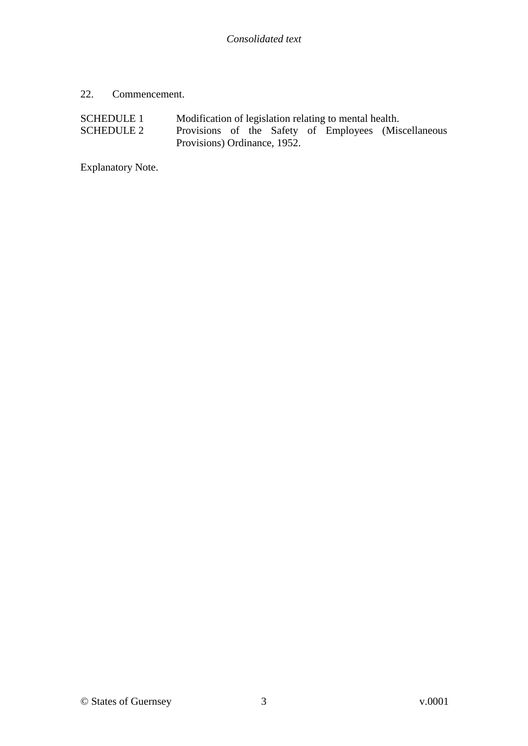## 22. [Commencement.](#page-36-2)

| <b>SCHEDULE 1</b> | Modification of legislation relating to mental health. |  |  |  |  |  |                                                      |
|-------------------|--------------------------------------------------------|--|--|--|--|--|------------------------------------------------------|
| <b>SCHEDULE 2</b> |                                                        |  |  |  |  |  | Provisions of the Safety of Employees (Miscellaneous |
|                   | Provisions) Ordinance, 1952.                           |  |  |  |  |  |                                                      |

[Explanatory Note.](#page-41-0)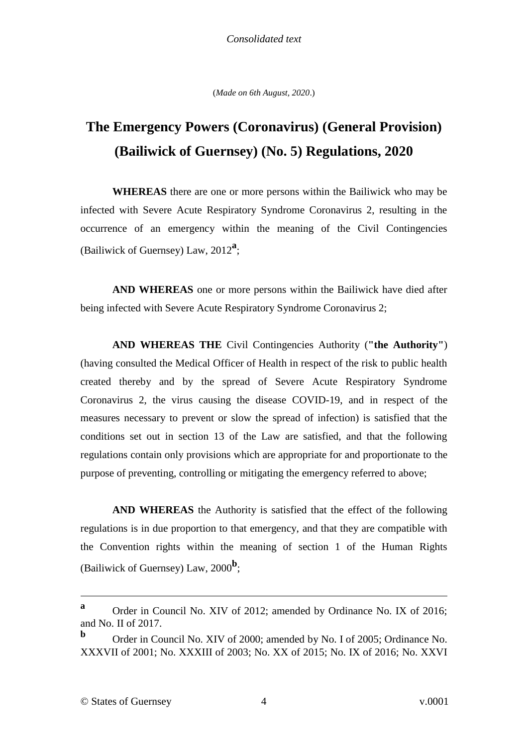(*Made on 6th August, 2020*.)

# **The Emergency Powers (Coronavirus) (General Provision) (Bailiwick of Guernsey) (No. 5) Regulations, 2020**

**WHEREAS** there are one or more persons within the Bailiwick who may be infected with Severe Acute Respiratory Syndrome Coronavirus 2, resulting in the occurrence of an emergency within the meaning of the Civil Contingencies (Bailiwick of Guernsey) Law, 2012**<sup>a</sup>** ;

**AND WHEREAS** one or more persons within the Bailiwick have died after being infected with Severe Acute Respiratory Syndrome Coronavirus 2;

**AND WHEREAS THE** Civil Contingencies Authority (**"the Authority"**) (having consulted the Medical Officer of Health in respect of the risk to public health created thereby and by the spread of Severe Acute Respiratory Syndrome Coronavirus 2, the virus causing the disease COVID-19, and in respect of the measures necessary to prevent or slow the spread of infection) is satisfied that the conditions set out in section 13 of the Law are satisfied, and that the following regulations contain only provisions which are appropriate for and proportionate to the purpose of preventing, controlling or mitigating the emergency referred to above;

**AND WHEREAS** the Authority is satisfied that the effect of the following regulations is in due proportion to that emergency, and that they are compatible with the Convention rights within the meaning of section 1 of the Human Rights (Bailiwick of Guernsey) Law, 2000**<sup>b</sup>** ;

1

**a** Order in Council No. XIV of 2012; amended by Ordinance No. IX of 2016; and No. II of 2017.

**b** Order in Council No. XIV of 2000; amended by No. I of 2005; Ordinance No. XXXVII of 2001; No. XXXIII of 2003; No. XX of 2015; No. IX of 2016; No. XXVI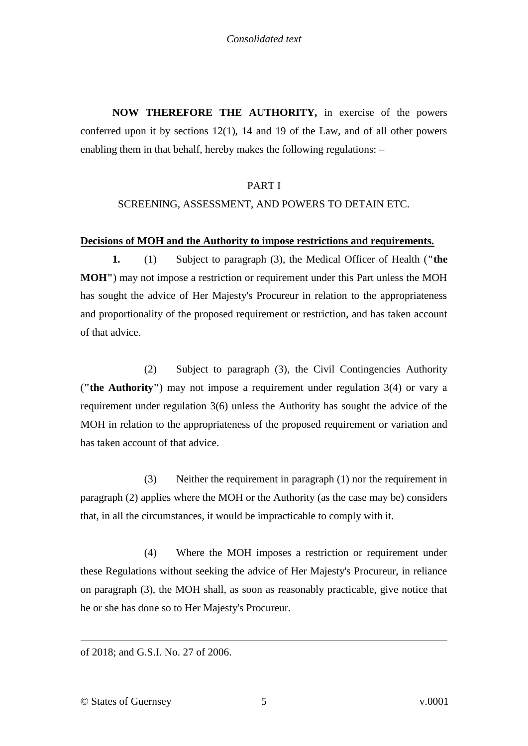**NOW THEREFORE THE AUTHORITY,** in exercise of the powers conferred upon it by sections 12(1), 14 and 19 of the Law, and of all other powers enabling them in that behalf, hereby makes the following regulations: –

#### PART I

#### <span id="page-4-0"></span>SCREENING, ASSESSMENT, AND POWERS TO DETAIN ETC.

#### <span id="page-4-1"></span>**Decisions of MOH and the Authority to impose restrictions and requirements.**

**1.** (1) Subject to paragraph (3), the Medical Officer of Health (**"the MOH"**) may not impose a restriction or requirement under this Part unless the MOH has sought the advice of Her Majesty's Procureur in relation to the appropriateness and proportionality of the proposed requirement or restriction, and has taken account of that advice.

(2) Subject to paragraph (3), the Civil Contingencies Authority (**"the Authority"**) may not impose a requirement under regulation 3(4) or vary a requirement under regulation 3(6) unless the Authority has sought the advice of the MOH in relation to the appropriateness of the proposed requirement or variation and has taken account of that advice.

(3) Neither the requirement in paragraph (1) nor the requirement in paragraph (2) applies where the MOH or the Authority (as the case may be) considers that, in all the circumstances, it would be impracticable to comply with it.

(4) Where the MOH imposes a restriction or requirement under these Regulations without seeking the advice of Her Majesty's Procureur, in reliance on paragraph (3), the MOH shall, as soon as reasonably practicable, give notice that he or she has done so to Her Majesty's Procureur.

1

of 2018; and G.S.I. No. 27 of 2006.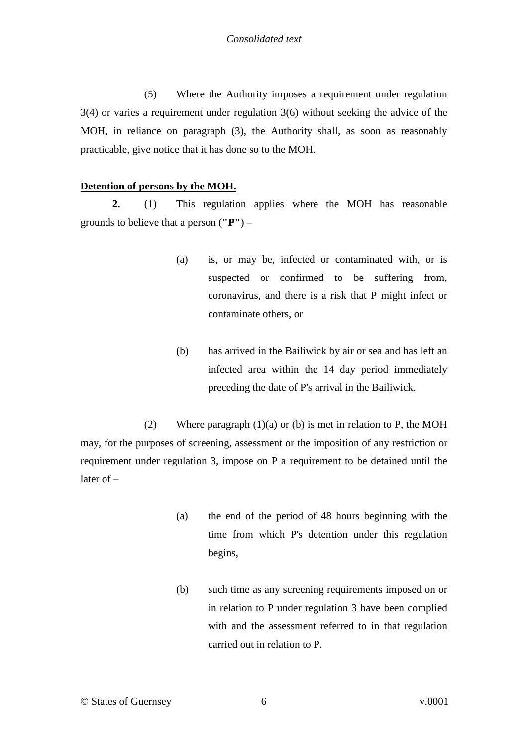(5) Where the Authority imposes a requirement under regulation 3(4) or varies a requirement under regulation 3(6) without seeking the advice of the MOH, in reliance on paragraph (3), the Authority shall, as soon as reasonably practicable, give notice that it has done so to the MOH.

## <span id="page-5-0"></span>**Detention of persons by the MOH.**

**2.** (1) This regulation applies where the MOH has reasonable grounds to believe that a person (**"P"**) –

- (a) is, or may be, infected or contaminated with, or is suspected or confirmed to be suffering from, coronavirus, and there is a risk that P might infect or contaminate others, or
- (b) has arrived in the Bailiwick by air or sea and has left an infected area within the 14 day period immediately preceding the date of P's arrival in the Bailiwick.

(2) Where paragraph (1)(a) or (b) is met in relation to P, the MOH may, for the purposes of screening, assessment or the imposition of any restriction or requirement under regulation 3, impose on P a requirement to be detained until the later of –

- (a) the end of the period of 48 hours beginning with the time from which P's detention under this regulation begins,
- (b) such time as any screening requirements imposed on or in relation to P under regulation 3 have been complied with and the assessment referred to in that regulation carried out in relation to P.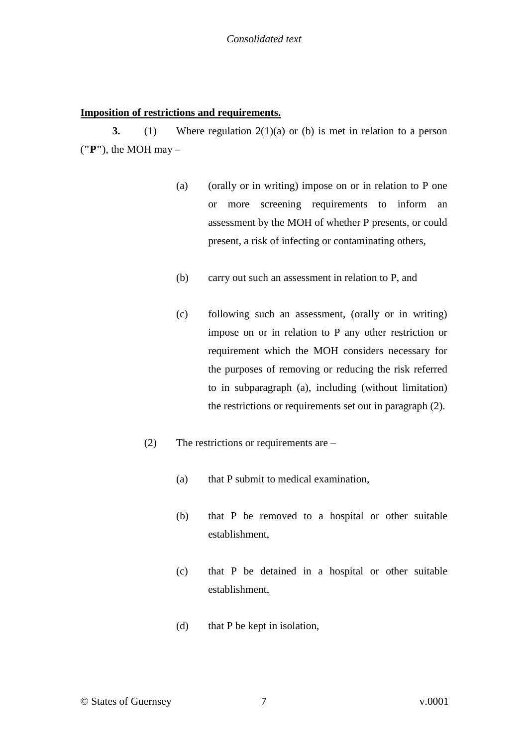## <span id="page-6-0"></span>**Imposition of restrictions and requirements.**

**3.** (1) Where regulation 2(1)(a) or (b) is met in relation to a person (**"P"**), the MOH may –

- (a) (orally or in writing) impose on or in relation to P one or more screening requirements to inform an assessment by the MOH of whether P presents, or could present, a risk of infecting or contaminating others,
- (b) carry out such an assessment in relation to P, and
- (c) following such an assessment, (orally or in writing) impose on or in relation to P any other restriction or requirement which the MOH considers necessary for the purposes of removing or reducing the risk referred to in subparagraph (a), including (without limitation) the restrictions or requirements set out in paragraph (2).
- (2) The restrictions or requirements are
	- (a) that P submit to medical examination,
	- (b) that P be removed to a hospital or other suitable establishment,
	- (c) that P be detained in a hospital or other suitable establishment,
	- (d) that P be kept in isolation,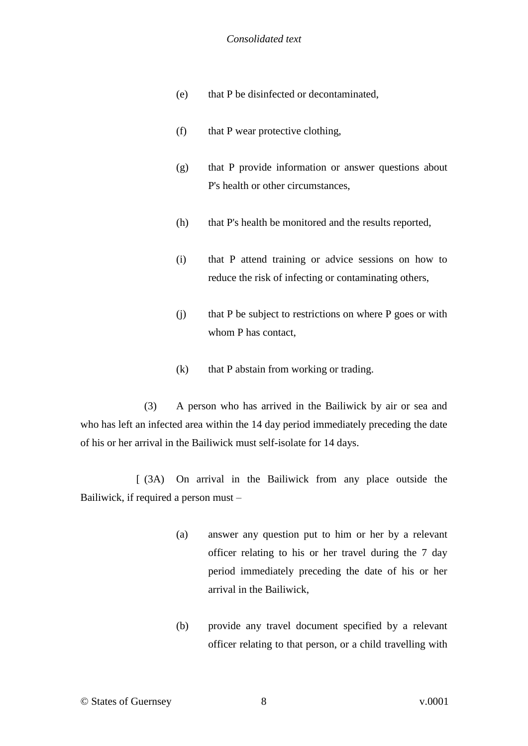- (e) that P be disinfected or decontaminated,
- (f) that P wear protective clothing,
- (g) that P provide information or answer questions about P's health or other circumstances,
- (h) that P's health be monitored and the results reported,
- (i) that P attend training or advice sessions on how to reduce the risk of infecting or contaminating others,
- (j) that P be subject to restrictions on where P goes or with whom P has contact,
- (k) that P abstain from working or trading.

(3) A person who has arrived in the Bailiwick by air or sea and who has left an infected area within the 14 day period immediately preceding the date of his or her arrival in the Bailiwick must self-isolate for 14 days.

 [ (3A) [On arrival in the Bailiwick from any place outside the](#page-10-1)  [Bailiwick, if required a person must –](#page-10-1)

- (a) [answer any question put to him or her by a relevant](#page-10-1)  [officer relating to his or her travel during the 7 day](#page-10-1)  [period immediately preceding the date of his or her](#page-10-1)  [arrival in the Bailiwick,](#page-10-1)
- (b) [provide any travel document specified by a relevant](#page-10-1)  [officer relating to that person, or a child travelling with](#page-10-1)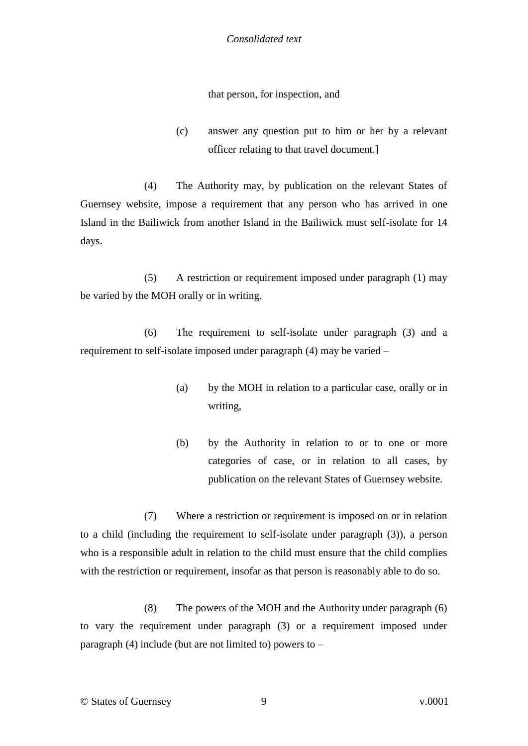[that person, for inspection, and](#page-10-1) 

(c) [answer any question put to him or her by a relevant](#page-10-1)  [officer relating to that travel document.\]](#page-10-1)

(4) The Authority may, by publication on the relevant States of Guernsey website, impose a requirement that any person who has arrived in one Island in the Bailiwick from another Island in the Bailiwick must self-isolate for 14 days.

(5) A restriction or requirement imposed under paragraph (1) may be varied by the MOH orally or in writing.

(6) The requirement to self-isolate under paragraph (3) and a requirement to self-isolate imposed under paragraph (4) may be varied –

- (a) by the MOH in relation to a particular case, orally or in writing,
- (b) by the Authority in relation to or to one or more categories of case, or in relation to all cases, by publication on the relevant States of Guernsey website.

(7) Where a restriction or requirement is imposed on or in relation to a child (including the requirement to self-isolate under paragraph (3)), a person who is a responsible adult in relation to the child must ensure that the child complies with the restriction or requirement, insofar as that person is reasonably able to do so.

(8) The powers of the MOH and the Authority under paragraph (6) to vary the requirement under paragraph (3) or a requirement imposed under paragraph  $(4)$  include (but are not limited to) powers to –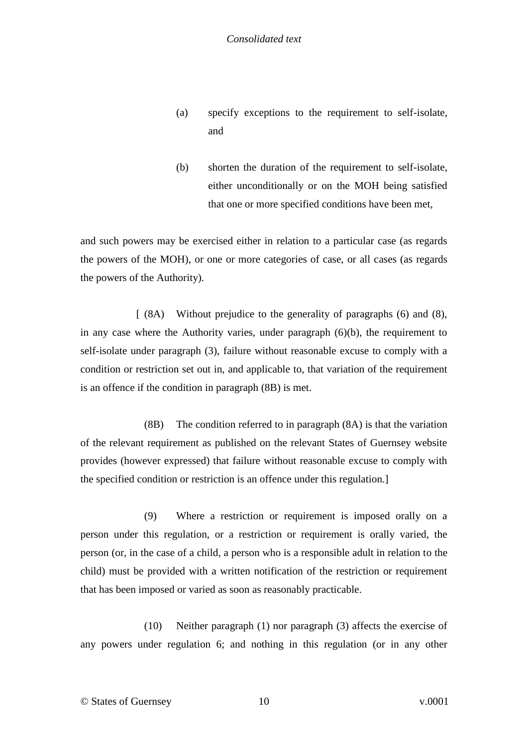- (a) specify exceptions to the requirement to self-isolate, and
- (b) shorten the duration of the requirement to self-isolate, either unconditionally or on the MOH being satisfied that one or more specified conditions have been met,

and such powers may be exercised either in relation to a particular case (as regards the powers of the MOH), or one or more categories of case, or all cases (as regards the powers of the Authority).

 [ (8A) [Without prejudice to the generality of paragraphs \(6\) and \(8\),](#page-10-1)  in any case where the Authority varies, under paragraph  $(6)(b)$ , the requirement to [self-isolate under paragraph \(3\), failure without reasonable excuse to comply with a](#page-10-1)  [condition or restriction set out in, and applicable to, that variation of the requirement](#page-10-1)  [is an offence if the condition in paragraph \(8B\) is met.](#page-10-1)

(8B) [The condition referred to in paragraph \(8A\) is that the variation](#page-10-1)  [of the relevant requirement as published on the relevant States of Guernsey website](#page-10-1)  [provides \(however expressed\) that failure without reasonable excuse to comply with](#page-10-1)  [the specified condition or restriction is an offence under this regulation.\]](#page-10-1)

(9) Where a restriction or requirement is imposed orally on a person under this regulation, or a restriction or requirement is orally varied, the person (or, in the case of a child, a person who is a responsible adult in relation to the child) must be provided with a written notification of the restriction or requirement that has been imposed or varied as soon as reasonably practicable.

(10) Neither paragraph (1) nor paragraph (3) affects the exercise of any powers under regulation 6; and nothing in this regulation (or in any other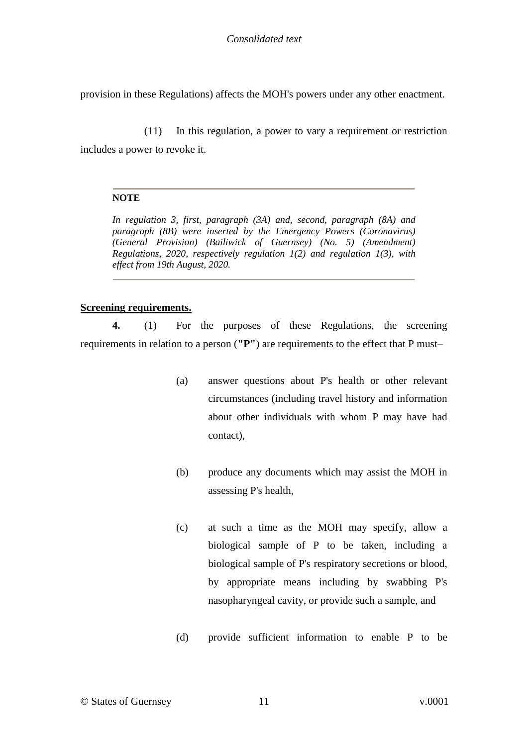provision in these Regulations) affects the MOH's powers under any other enactment.

(11) In this regulation, a power to vary a requirement or restriction includes a power to revoke it.

#### **NOTE**

<span id="page-10-1"></span>*In regulation 3, first, paragraph (3A) and, second, paragraph (8A) and paragraph (8B) were inserted by the Emergency Powers (Coronavirus) (General Provision) (Bailiwick of Guernsey) (No. 5) (Amendment) Regulations, 2020, respectively regulation 1(2) and regulation 1(3), with effect from 19th August, 2020.*

## <span id="page-10-0"></span>**Screening requirements.**

**4.** (1) For the purposes of these Regulations, the screening requirements in relation to a person (**"P"**) are requirements to the effect that P must–

- (a) answer questions about P's health or other relevant circumstances (including travel history and information about other individuals with whom P may have had contact),
- (b) produce any documents which may assist the MOH in assessing P's health,
- (c) at such a time as the MOH may specify, allow a biological sample of P to be taken, including a biological sample of P's respiratory secretions or blood, by appropriate means including by swabbing P's nasopharyngeal cavity, or provide such a sample, and
- (d) provide sufficient information to enable P to be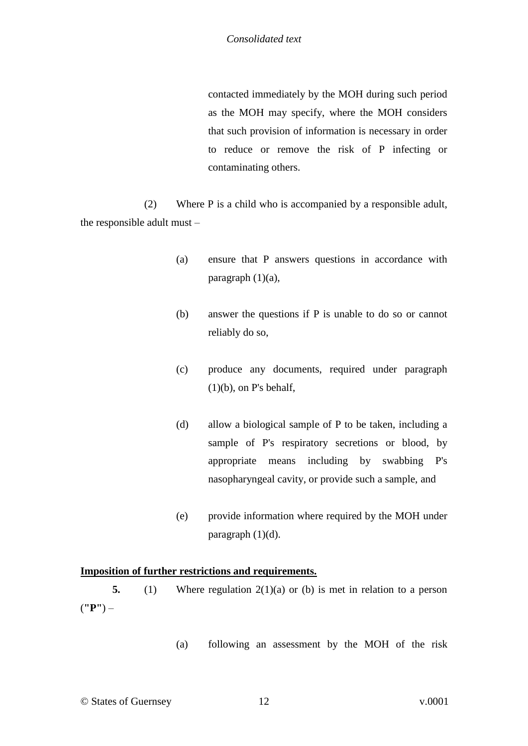contacted immediately by the MOH during such period as the MOH may specify, where the MOH considers that such provision of information is necessary in order to reduce or remove the risk of P infecting or contaminating others.

(2) Where P is a child who is accompanied by a responsible adult, the responsible adult must –

- (a) ensure that P answers questions in accordance with paragraph  $(1)(a)$ ,
- (b) answer the questions if P is unable to do so or cannot reliably do so,
- (c) produce any documents, required under paragraph  $(1)(b)$ , on P's behalf,
- (d) allow a biological sample of P to be taken, including a sample of P's respiratory secretions or blood, by appropriate means including by swabbing P's nasopharyngeal cavity, or provide such a sample, and
- (e) provide information where required by the MOH under paragraph  $(1)(d)$ .

## <span id="page-11-0"></span>**Imposition of further restrictions and requirements.**

**5.** (1) Where regulation 2(1)(a) or (b) is met in relation to a person (**"P"**) –

(a) following an assessment by the MOH of the risk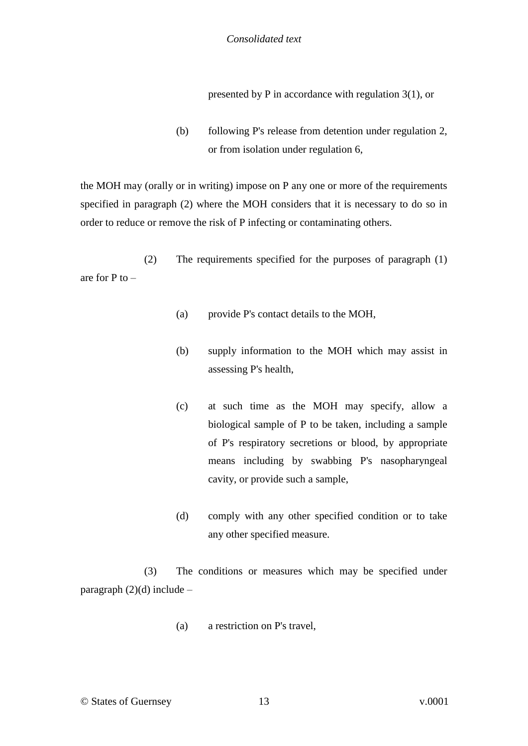presented by P in accordance with regulation 3(1), or

(b) following P's release from detention under regulation 2, or from isolation under regulation 6,

the MOH may (orally or in writing) impose on P any one or more of the requirements specified in paragraph (2) where the MOH considers that it is necessary to do so in order to reduce or remove the risk of P infecting or contaminating others.

(2) The requirements specified for the purposes of paragraph (1) are for P to –

- (a) provide P's contact details to the MOH,
- (b) supply information to the MOH which may assist in assessing P's health,
- (c) at such time as the MOH may specify, allow a biological sample of P to be taken, including a sample of P's respiratory secretions or blood, by appropriate means including by swabbing P's nasopharyngeal cavity, or provide such a sample,
- (d) comply with any other specified condition or to take any other specified measure.

(3) The conditions or measures which may be specified under paragraph  $(2)(d)$  include –

(a) a restriction on P's travel,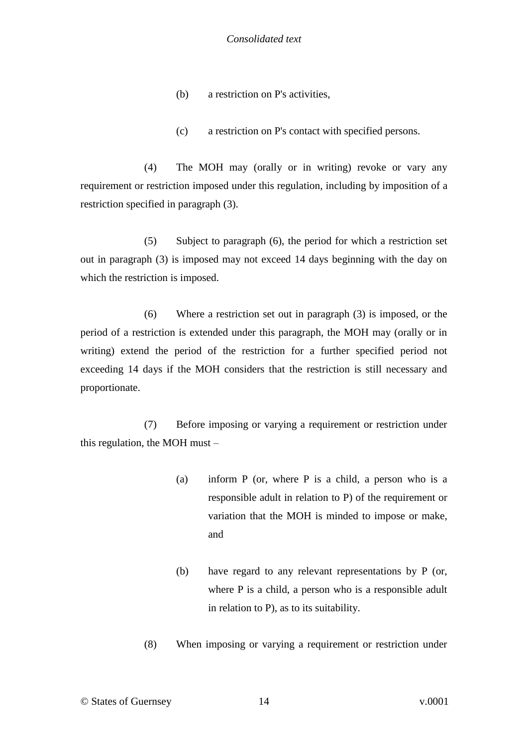- (b) a restriction on P's activities,
- (c) a restriction on P's contact with specified persons.

(4) The MOH may (orally or in writing) revoke or vary any requirement or restriction imposed under this regulation, including by imposition of a restriction specified in paragraph (3).

(5) Subject to paragraph (6), the period for which a restriction set out in paragraph (3) is imposed may not exceed 14 days beginning with the day on which the restriction is imposed.

(6) Where a restriction set out in paragraph (3) is imposed, or the period of a restriction is extended under this paragraph, the MOH may (orally or in writing) extend the period of the restriction for a further specified period not exceeding 14 days if the MOH considers that the restriction is still necessary and proportionate.

(7) Before imposing or varying a requirement or restriction under this regulation, the MOH must –

- (a) inform P (or, where P is a child, a person who is a responsible adult in relation to P) of the requirement or variation that the MOH is minded to impose or make, and
- (b) have regard to any relevant representations by P (or, where P is a child, a person who is a responsible adult in relation to P), as to its suitability.
- (8) When imposing or varying a requirement or restriction under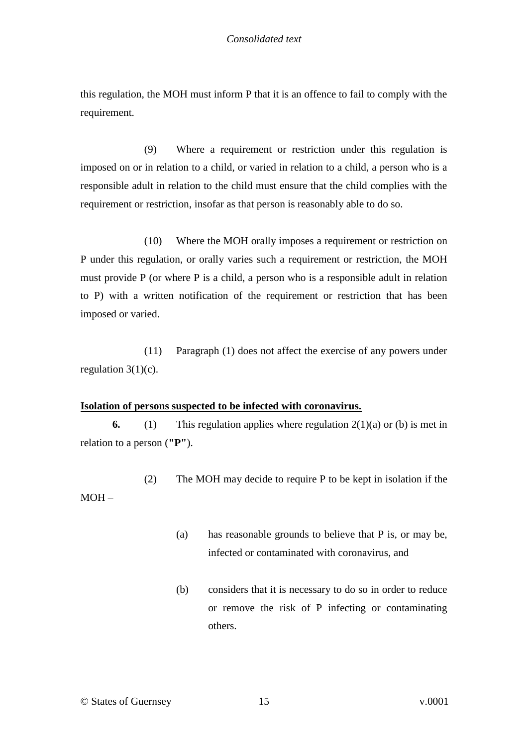this regulation, the MOH must inform P that it is an offence to fail to comply with the requirement.

(9) Where a requirement or restriction under this regulation is imposed on or in relation to a child, or varied in relation to a child, a person who is a responsible adult in relation to the child must ensure that the child complies with the requirement or restriction, insofar as that person is reasonably able to do so.

(10) Where the MOH orally imposes a requirement or restriction on P under this regulation, or orally varies such a requirement or restriction, the MOH must provide P (or where P is a child, a person who is a responsible adult in relation to P) with a written notification of the requirement or restriction that has been imposed or varied.

(11) Paragraph (1) does not affect the exercise of any powers under regulation  $3(1)(c)$ .

## <span id="page-14-0"></span>**Isolation of persons suspected to be infected with coronavirus.**

**6.** (1) This regulation applies where regulation  $2(1)(a)$  or (b) is met in relation to a person (**"P"**).

(2) The MOH may decide to require P to be kept in isolation if the  $MOH -$ 

- (a) has reasonable grounds to believe that P is, or may be, infected or contaminated with coronavirus, and
- (b) considers that it is necessary to do so in order to reduce or remove the risk of P infecting or contaminating others.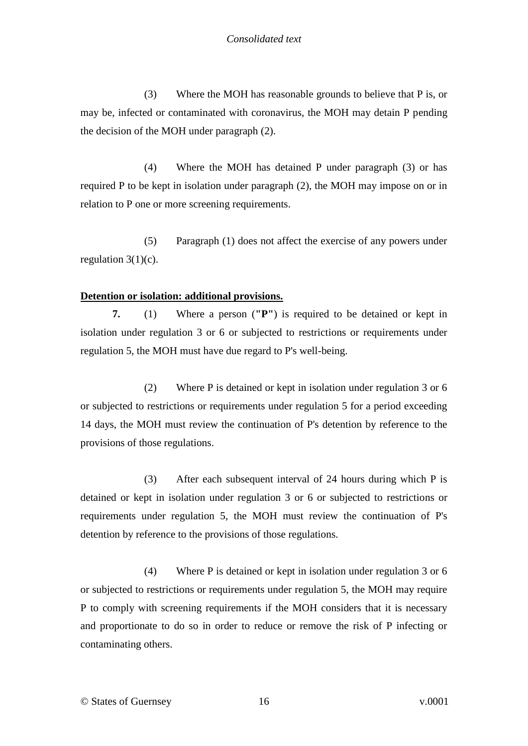(3) Where the MOH has reasonable grounds to believe that P is, or may be, infected or contaminated with coronavirus, the MOH may detain P pending the decision of the MOH under paragraph (2).

(4) Where the MOH has detained P under paragraph (3) or has required P to be kept in isolation under paragraph (2), the MOH may impose on or in relation to P one or more screening requirements.

(5) Paragraph (1) does not affect the exercise of any powers under regulation 3(1)(c).

#### <span id="page-15-0"></span>**Detention or isolation: additional provisions.**

**7.** (1) Where a person (**"P"**) is required to be detained or kept in isolation under regulation 3 or 6 or subjected to restrictions or requirements under regulation 5, the MOH must have due regard to P's well-being.

(2) Where P is detained or kept in isolation under regulation 3 or 6 or subjected to restrictions or requirements under regulation 5 for a period exceeding 14 days, the MOH must review the continuation of P's detention by reference to the provisions of those regulations.

(3) After each subsequent interval of 24 hours during which P is detained or kept in isolation under regulation 3 or 6 or subjected to restrictions or requirements under regulation 5, the MOH must review the continuation of P's detention by reference to the provisions of those regulations.

(4) Where P is detained or kept in isolation under regulation 3 or 6 or subjected to restrictions or requirements under regulation 5, the MOH may require P to comply with screening requirements if the MOH considers that it is necessary and proportionate to do so in order to reduce or remove the risk of P infecting or contaminating others.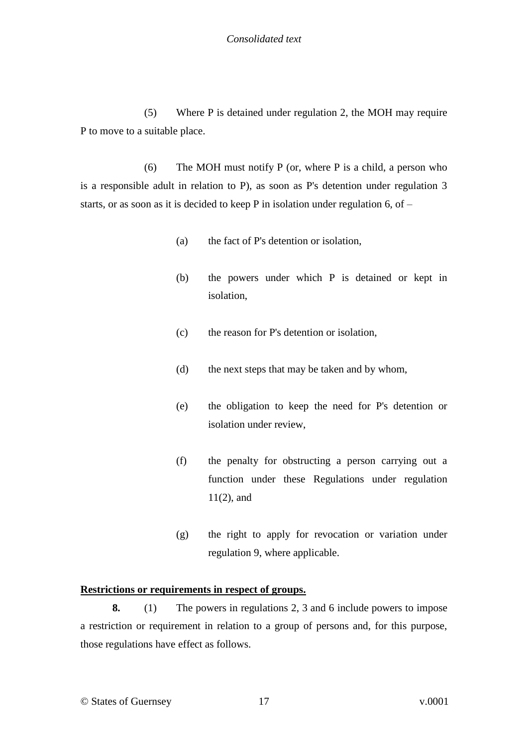(5) Where P is detained under regulation 2, the MOH may require P to move to a suitable place.

(6) The MOH must notify P (or, where P is a child, a person who is a responsible adult in relation to P), as soon as P's detention under regulation 3 starts, or as soon as it is decided to keep P in isolation under regulation 6, of –

- (a) the fact of P's detention or isolation,
- (b) the powers under which P is detained or kept in isolation,
- (c) the reason for P's detention or isolation,
- (d) the next steps that may be taken and by whom,
- (e) the obligation to keep the need for P's detention or isolation under review,
- (f) the penalty for obstructing a person carrying out a function under these Regulations under regulation 11(2), and
- (g) the right to apply for revocation or variation under regulation 9, where applicable.

#### <span id="page-16-0"></span>**Restrictions or requirements in respect of groups.**

**8.** (1) The powers in regulations 2, 3 and 6 include powers to impose a restriction or requirement in relation to a group of persons and, for this purpose, those regulations have effect as follows.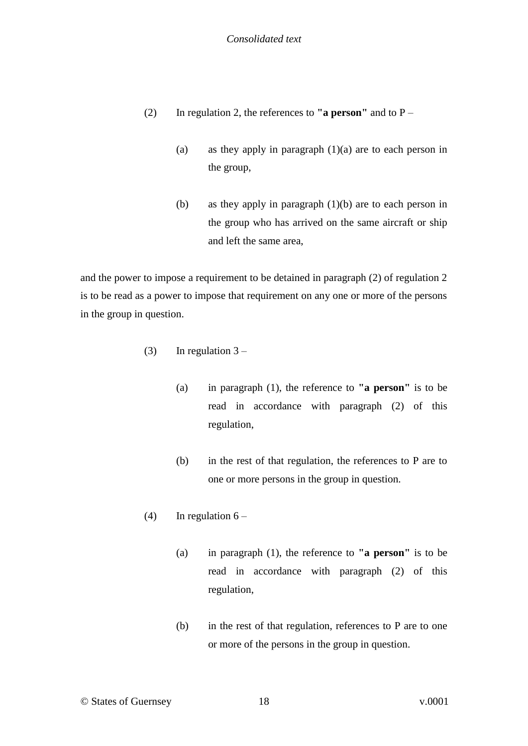- (2) In regulation 2, the references to **"a person"** and to P
	- (a) as they apply in paragraph  $(1)(a)$  are to each person in the group,
	- (b) as they apply in paragraph (1)(b) are to each person in the group who has arrived on the same aircraft or ship and left the same area,

and the power to impose a requirement to be detained in paragraph (2) of regulation 2 is to be read as a power to impose that requirement on any one or more of the persons in the group in question.

- (3) In regulation  $3 -$ 
	- (a) in paragraph (1), the reference to **"a person"** is to be read in accordance with paragraph (2) of this regulation,
	- (b) in the rest of that regulation, the references to P are to one or more persons in the group in question.
- (4) In regulation  $6 -$ 
	- (a) in paragraph (1), the reference to **"a person"** is to be read in accordance with paragraph (2) of this regulation,
	- (b) in the rest of that regulation, references to P are to one or more of the persons in the group in question.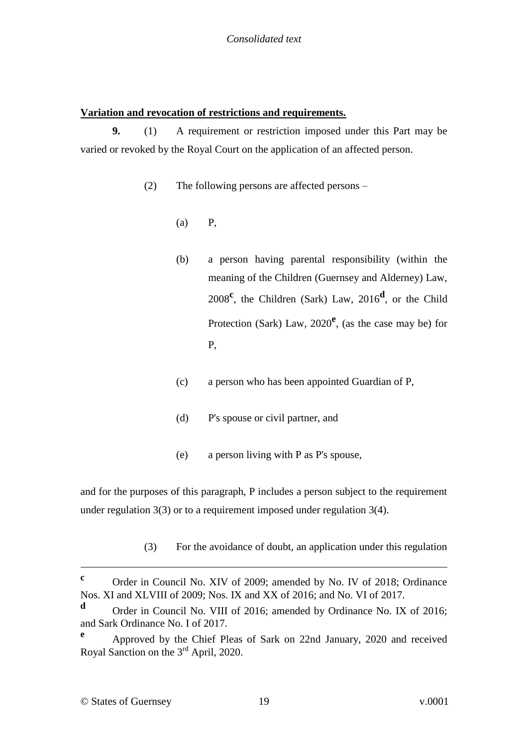## <span id="page-18-0"></span>**Variation and revocation of restrictions and requirements.**

**9.** (1) A requirement or restriction imposed under this Part may be varied or revoked by the Royal Court on the application of an affected person.

- (2) The following persons are affected persons
	- (a) P,
	- (b) a person having parental responsibility (within the meaning of the Children (Guernsey and Alderney) Law, 2008**<sup>c</sup>** , the Children (Sark) Law, 2016**<sup>d</sup>** , or the Child Protection (Sark) Law, 2020<sup>e</sup>, (as the case may be) for P,
	- (c) a person who has been appointed [Guardian](#page-19-1) of P,
	- (d) P's spouse or civil partner, and
	- (e) a person living with P as P's spouse,

and for the purposes of this paragraph, P includes a person subject to the requirement under regulation 3(3) or to a requirement imposed under regulation 3(4).

(3) For the avoidance of doubt, an application under this regulation

<u>.</u>

**<sup>c</sup>** Order in Council No. XIV of 2009; amended by No. IV of 2018; Ordinance Nos. XI and XLVIII of 2009; Nos. IX and XX of 2016; and No. VI of 2017.

**<sup>d</sup>** Order in Council No. VIII of 2016; amended by Ordinance No. IX of 2016; and Sark Ordinance No. I of 2017.

**<sup>e</sup>** Approved by the Chief Pleas of Sark on 22nd January, 2020 and received Royal Sanction on the 3rd April, 2020.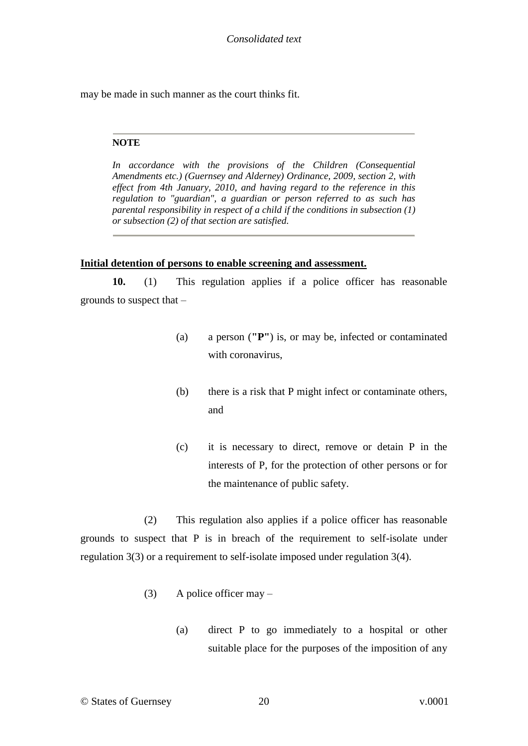may be made in such manner as the court thinks fit.

#### **NOTE**

<span id="page-19-1"></span>*In accordance with the provisions of the Children (Consequential Amendments etc.) (Guernsey and Alderney) Ordinance, 2009, section 2, with effect from 4th January, 2010, and having regard to the reference in this regulation to "guardian", a guardian or person referred to as such has parental responsibility in respect of a child if the conditions in subsection (1) or subsection (2) of that section are satisfied.*

#### <span id="page-19-0"></span>**Initial detention of persons to enable screening and assessment.**

**10.** (1) This regulation applies if a police officer has reasonable grounds to suspect that –

- (a) a person (**"P"**) is, or may be, infected or contaminated with coronavirus,
- (b) there is a risk that P might infect or contaminate others, and
- (c) it is necessary to direct, remove or detain P in the interests of P, for the protection of other persons or for the maintenance of public safety.

(2) This regulation also applies if a police officer has reasonable grounds to suspect that P is in breach of the requirement to self-isolate under regulation 3(3) or a requirement to self-isolate imposed under regulation 3(4).

- (3) A police officer may  $-$ 
	- (a) direct P to go immediately to a hospital or other suitable place for the purposes of the imposition of any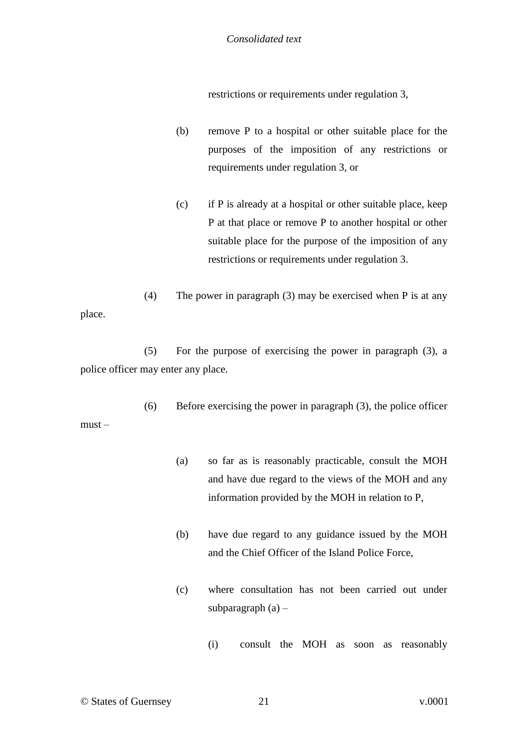restrictions or requirements under regulation 3,

- (b) remove P to a hospital or other suitable place for the purposes of the imposition of any restrictions or requirements under regulation 3, or
- (c) if P is already at a hospital or other suitable place, keep P at that place or remove P to another hospital or other suitable place for the purpose of the imposition of any restrictions or requirements under regulation 3.
- (4) The power in paragraph (3) may be exercised when P is at any place.

(5) For the purpose of exercising the power in paragraph (3), a police officer may enter any place.

(6) Before exercising the power in paragraph (3), the police officer  $must -$ 

- (a) so far as is reasonably practicable, consult the MOH and have due regard to the views of the MOH and any information provided by the MOH in relation to P,
- (b) have due regard to any guidance issued by the MOH and the Chief Officer of the Island Police Force,
- (c) where consultation has not been carried out under subparagraph  $(a)$  –
	- (i) consult the MOH as soon as reasonably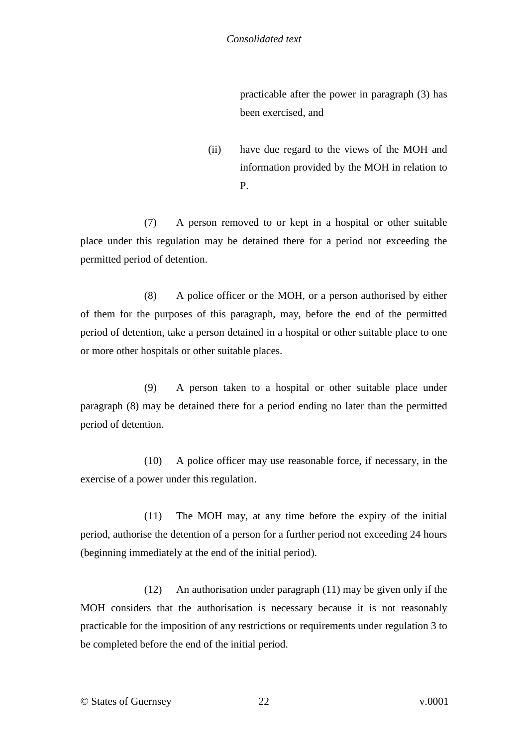practicable after the power in paragraph (3) has been exercised, and

(ii) have due regard to the views of the MOH and information provided by the MOH in relation to P.

(7) A person removed to or kept in a hospital or other suitable place under this regulation may be detained there for a period not exceeding the permitted period of detention.

(8) A police officer or the MOH, or a person authorised by either of them for the purposes of this paragraph, may, before the end of the permitted period of detention, take a person detained in a hospital or other suitable place to one or more other hospitals or other suitable places.

(9) A person taken to a hospital or other suitable place under paragraph (8) may be detained there for a period ending no later than the permitted period of detention.

(10) A police officer may use reasonable force, if necessary, in the exercise of a power under this regulation.

(11) The MOH may, at any time before the expiry of the initial period, authorise the detention of a person for a further period not exceeding 24 hours (beginning immediately at the end of the initial period).

(12) An authorisation under paragraph (11) may be given only if the MOH considers that the authorisation is necessary because it is not reasonably practicable for the imposition of any restrictions or requirements under regulation 3 to be completed before the end of the initial period.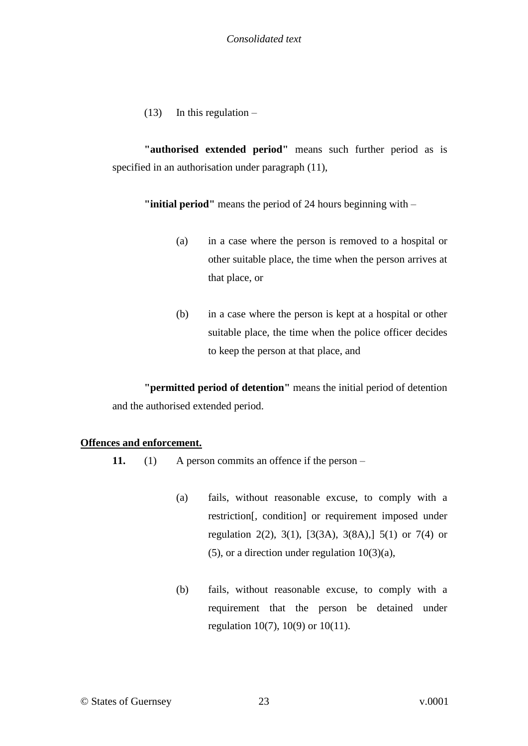$(13)$  In this regulation –

**"authorised extended period"** means such further period as is specified in an authorisation under paragraph  $(11)$ ,

**"initial period"** means the period of 24 hours beginning with –

- (a) in a case where the person is removed to a hospital or other suitable place, the time when the person arrives at that place, or
- (b) in a case where the person is kept at a hospital or other suitable place, the time when the police officer decides to keep the person at that place, and

**"permitted period of detention"** means the initial period of detention and the authorised extended period.

#### <span id="page-22-0"></span>**Offences and enforcement.**

- **11.** (1) A person commits an offence if the person
	- (a) fails, without reasonable excuse, to comply with a restrictio[n\[, condition\]](#page-24-1) or requirement imposed under regulation 2(2), 3(1), [\[3\(3A\), 3\(8A\),\]](#page-24-1) 5(1) or 7(4) or (5), or a direction under regulation 10(3)(a),
	- (b) fails, without reasonable excuse, to comply with a requirement that the person be detained under regulation 10(7), 10(9) or 10(11).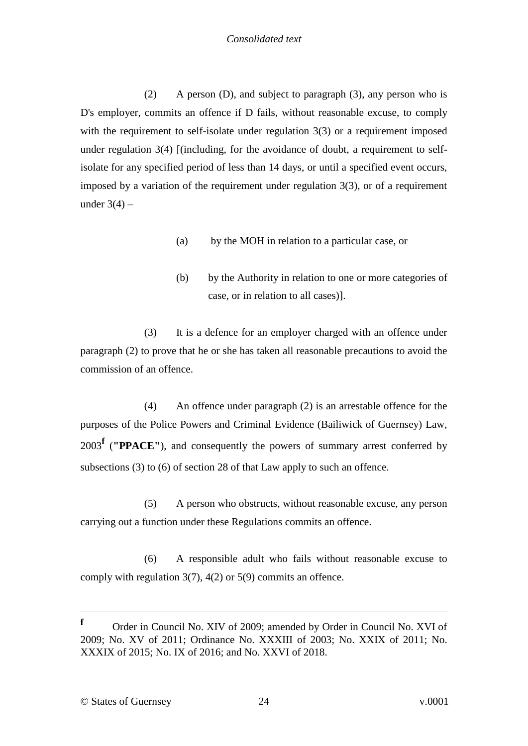(2) A person (D), and subject to paragraph (3), any person who is D's employer, commits an offence if D fails, without reasonable excuse, to comply with the requirement to self-isolate under regulation 3(3) or a requirement imposed under regulation 3(4) [\[\(including, for the avoidance of doubt, a requirement to self](#page-24-1)[isolate for any specified period of less than 14 days, or until a specified event occurs,](#page-24-1)  [imposed by a variation of the requirement under regulation 3\(3\), or of a requirement](#page-24-1)  under  $3(4)$  –

- (a) [by the MOH in relation to a particular case, or](#page-24-1)
- (b) [by the Authority in relation to one](#page-24-1) or more categories of [case, or in relation to all cases\)\].](#page-24-1)

(3) It is a defence for an employer charged with an offence under paragraph (2) to prove that he or she has taken all reasonable precautions to avoid the commission of an offence.

(4) An offence under paragraph (2) is an arrestable offence for the purposes of the Police Powers and Criminal Evidence (Bailiwick of Guernsey) Law, 2003**<sup>f</sup>** (**"PPACE"**), and consequently the powers of summary arrest conferred by subsections (3) to (6) of section 28 of that Law apply to such an offence.

(5) A person who obstructs, without reasonable excuse, any person carrying out a function under these Regulations commits an offence.

(6) A responsible adult who fails without reasonable excuse to comply with regulation 3(7), 4(2) or 5(9) commits an offence.

1

**<sup>f</sup>** Order in Council No. XIV of 2009; amended by Order in Council No. XVI of 2009; No. XV of 2011; Ordinance No. XXXIII of 2003; No. XXIX of 2011; No. XXXIX of 2015; No. IX of 2016; and No. XXVI of 2018.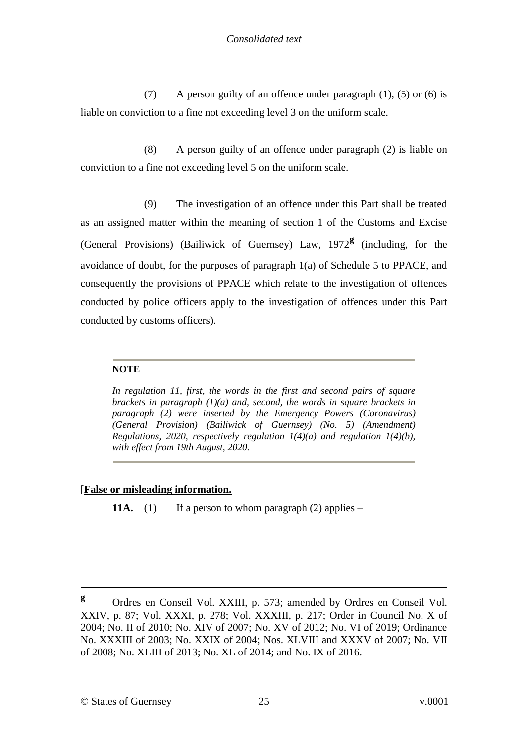(7) A person guilty of an offence under paragraph (1), (5) or (6) is liable on conviction to a fine not exceeding level 3 on the uniform scale.

(8) A person guilty of an offence under paragraph (2) is liable on conviction to a fine not exceeding level 5 on the uniform scale.

(9) The investigation of an offence under this Part shall be treated as an assigned matter within the meaning of section 1 of the Customs and Excise (General Provisions) (Bailiwick of Guernsey) Law, 1972**<sup>g</sup>** (including, for the avoidance of doubt, for the purposes of paragraph 1(a) of Schedule 5 to PPACE, and consequently the provisions of PPACE which relate to the investigation of offences conducted by police officers apply to the investigation of offences under this Part conducted by customs officers).

#### **NOTE**

<span id="page-24-1"></span>*In regulation 11, first, the words in the first and second pairs of square brackets in paragraph (1)(a) and, second, the words in square brackets in paragraph (2) were inserted by the Emergency Powers (Coronavirus) (General Provision) (Bailiwick of Guernsey) (No. 5) (Amendment) Regulations, 2020, respectively regulation 1(4)(a) and regulation 1(4)(b), with effect from 19th August, 2020.*

#### <span id="page-24-0"></span>[**[False or misleading information.](#page-26-1)**

**11A.** (1) If a person to whom paragraph (2) applies  $-$ 

<u>.</u>

**<sup>g</sup>** Ordres en Conseil Vol. XXIII, p. 573; amended by Ordres en Conseil Vol. XXIV, p. 87; Vol. XXXI, p. 278; Vol. XXXIII, p. 217; Order in Council No. X of 2004; No. II of 2010; No. XIV of 2007; No. XV of 2012; No. VI of 2019; Ordinance No. XXXIII of 2003; No. XXIX of 2004; Nos. XLVIII and XXXV of 2007; No. VII of 2008; No. XLIII of 2013; No. XL of 2014; and No. IX of 2016.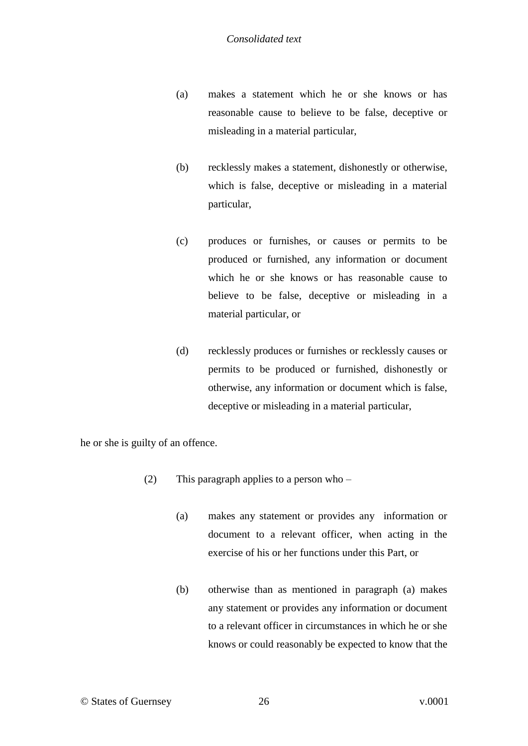- (a) [makes a statement which he or she knows or has](#page-26-1)  [reasonable cause to believe to be false, deceptive or](#page-26-1)  [misleading in a material particular,](#page-26-1)
- (b) [recklessly makes a statement, dishonestly or otherwise,](#page-26-1)  [which is false, deceptive or misleading in a material](#page-26-1)  [particular,](#page-26-1)
- (c) [produces or furnishes, or causes or permits to be](#page-26-1)  [produced or furnished, any information or document](#page-26-1)  [which he or she knows or has reasonable cause to](#page-26-1)  [believe to be false, deceptive or misleading in a](#page-26-1)  [material particular, or](#page-26-1)
- (d) [recklessly produces or furnishes or recklessly causes or](#page-26-1)  [permits to be produced or furnished, dishonestly or](#page-26-1)  [otherwise, any information or document which is false,](#page-26-1)  [deceptive or misleading in a material particular,](#page-26-1)

[he or she is guilty of an offence.](#page-26-1)

- (2) [This paragraph applies to a person who –](#page-26-1)
	- (a) [makes any statement or provides any information or](#page-26-1)  [document to a relevant officer, when acting in the](#page-26-1)  [exercise of his or her functions under](#page-26-1) this Part, or
	- (b) [otherwise than as mentioned in paragraph \(a\) makes](#page-26-1)  [any statement or provides any information or document](#page-26-1)  [to a relevant officer in circumstances in which he or she](#page-26-1)  [knows or could reasonably be expected to know that the](#page-26-1)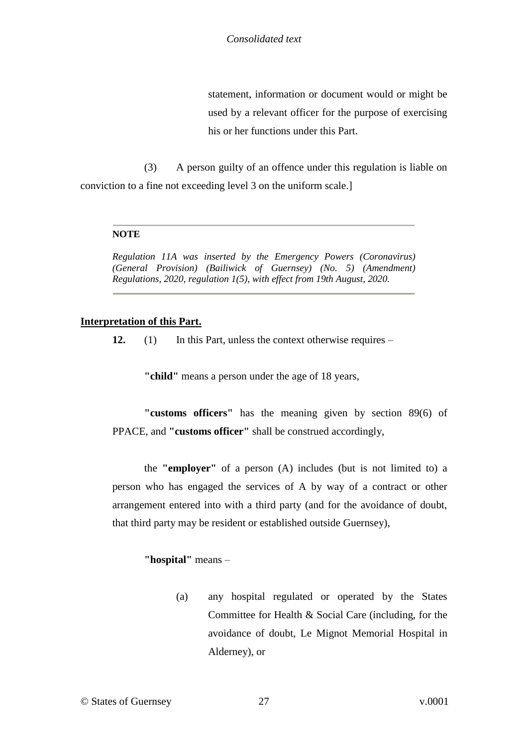[statement, information or document would or might be](#page-26-1)  [used by a relevant officer for the purpose of exercising](#page-26-1)  [his or her functions under this Part.](#page-26-1)

(3) [A person guilty of an offence under this regulation is liable on](#page-26-1)  [conviction to a fine not exceeding level 3 on the uniform scale.\]](#page-26-1)

#### **NOTE**

<span id="page-26-1"></span>*Regulation 11A was inserted by the Emergency Powers (Coronavirus) (General Provision) (Bailiwick of Guernsey) (No. 5) (Amendment) Regulations, 2020, regulation 1(5), with effect from 19th August, 2020.*

#### <span id="page-26-0"></span>**Interpretation of this Part.**

**12.** (1) In this Part, unless the context otherwise requires –

**"child"** means a person under the age of 18 years,

**"customs officers"** has the meaning given by section 89(6) of PPACE, and **"customs officer"** shall be construed accordingly,

the **"employer"** of a person (A) includes (but is not limited to) a person who has engaged the services of A by way of a contract or other arrangement entered into with a third party (and for the avoidance of doubt, that third party may be resident or established outside Guernsey),

#### **"hospital"** means –

(a) any hospital regulated or operated by the States Committee for Health & Social Care (including, for the avoidance of doubt, Le Mignot Memorial Hospital in Alderney), or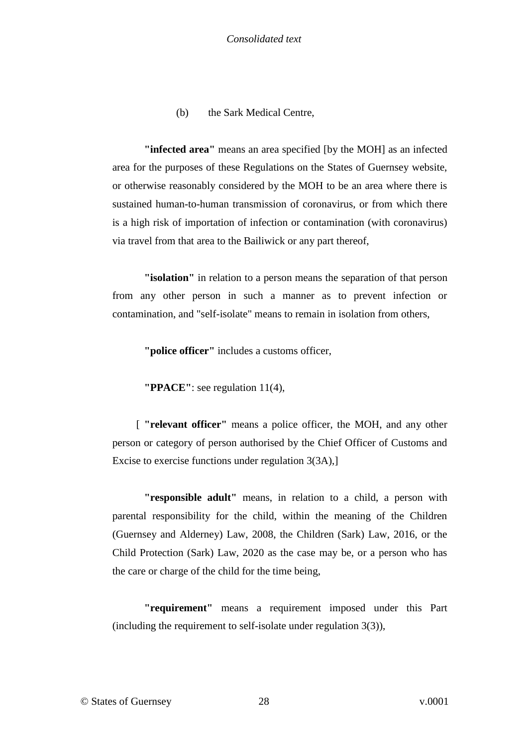(b) the Sark Medical Centre,

**"infected area"** means an area specified [\[by the MOH\]](#page-28-0) as an infected area for the purposes of these Regulations on the States of Guernsey website, or otherwise reasonably considered by the MOH to be an area where there is sustained human-to-human transmission of coronavirus, or from which there is a high risk of importation of infection or contamination (with coronavirus) via travel from that area to the Bailiwick or any part thereof,

**"isolation"** in relation to a person means the separation of that person from any other person in such a manner as to prevent infection or contamination, and "self-isolate" means to remain in isolation from others,

**"police officer"** includes a customs officer,

**"PPACE"**: see regulation 11(4),

 [ **"relevant officer"** [means a police officer, the MOH, and any other](#page-28-0)  [person or category of person authorised by the Chief Officer of Customs and](#page-28-0)  [Excise to exercise functions under regulation 3\(3A\),\]](#page-28-0)

**"responsible adult"** means, in relation to a child, a person with parental responsibility for the child, within the meaning of the Children (Guernsey and Alderney) Law, 2008, the Children (Sark) Law, 2016, or the Child Protection (Sark) Law, 2020 as the case may be, or a person who has the care or charge of the child for the time being,

**"requirement"** means a requirement imposed under this Part (including the requirement to self-isolate under regulation 3(3)),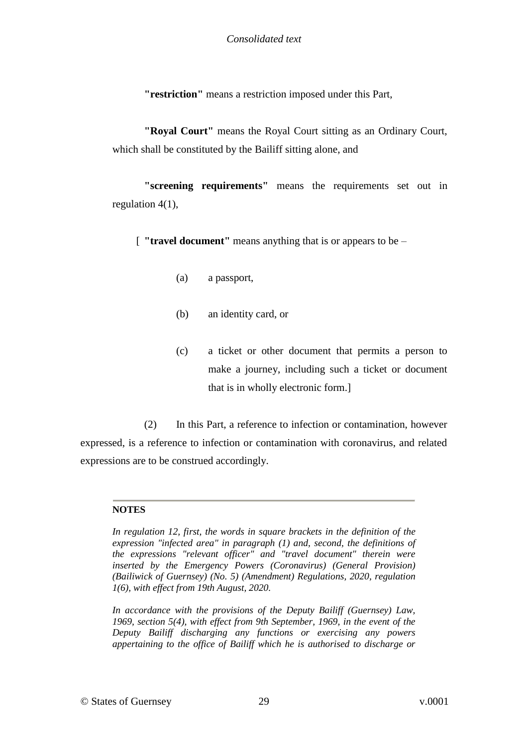**"restriction"** means a restriction imposed under this Part,

**"Royal Court"** means the Royal Court sitting as an Ordinary Court, which shall be constituted by the [Bailiff](#page-28-1) sitting alone, and

**"screening requirements"** means the requirements set out in regulation 4(1),

[ **"travel document"** [means anything that is or appears to be –](#page-28-0)

- (a) [a passport,](#page-28-0)
- (b) [an identity card, or](#page-28-0)
- (c) [a ticket or other document that permits a person to](#page-28-0)  [make a journey, including such a ticket or document](#page-28-0)  [that is in wholly electronic form.\]](#page-28-0)

(2) In this Part, a reference to infection or contamination, however expressed, is a reference to infection or contamination with coronavirus, and related expressions are to be construed accordingly.

#### **NOTES**

<span id="page-28-0"></span>In regulation 12, first, the words in square brackets in the definition of the *expression "infected area" in paragraph (1) and, second, the definitions of the expressions "relevant officer" and "travel document" therein were inserted by the Emergency Powers (Coronavirus) (General Provision) (Bailiwick of Guernsey) (No. 5) (Amendment) Regulations, 2020, regulation 1(6), with effect from 19th August, 2020.*

<span id="page-28-1"></span>*In accordance with the provisions of the Deputy Bailiff (Guernsey) Law, 1969, section 5(4), with effect from 9th September, 1969, in the event of the Deputy Bailiff discharging any functions or exercising any powers appertaining to the office of Bailiff which he is authorised to discharge or*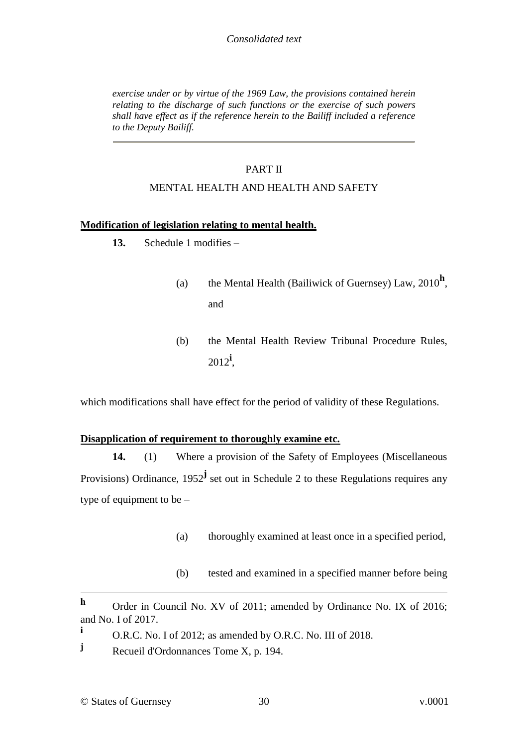*exercise under or by virtue of the 1969 Law, the provisions contained herein relating to the discharge of such functions or the exercise of such powers shall have effect as if the reference herein to the Bailiff included a reference to the Deputy Bailiff.*

## PART II

#### MENTAL HEALTH AND HEALTH AND SAFETY

#### <span id="page-29-1"></span><span id="page-29-0"></span>**Modification of legislation relating to mental health.**

- **13.** [Schedule 1](#page-37-0) modifies
	- (a) the Mental Health (Bailiwick of Guernsey) Law, 2010**<sup>h</sup>** , and
	- (b) the Mental Health Review Tribunal Procedure Rules, 2012**<sup>i</sup>** ,

which modifications shall have effect for the period of validity of these Regulations.

#### <span id="page-29-2"></span>**Disapplication of requirement to thoroughly examine etc.**

**14.** (1) Where a provision of the Safety of Employees (Miscellaneous Provisions) Ordinance, 1952**<sup>j</sup>** set out in [Schedule 2](#page-40-0) to these Regulations requires any type of equipment to be –

- (a) thoroughly examined at least once in a specified period,
- (b) tested and examined in a specified manner before being

1

**h** Order in Council No. XV of 2011; amended by Ordinance No. IX of 2016; and No. I of 2017.

**<sup>i</sup>** O.R.C. No. I of 2012; as amended by O.R.C. No. III of 2018.

**j** Recueil d'Ordonnances Tome X, p. 194.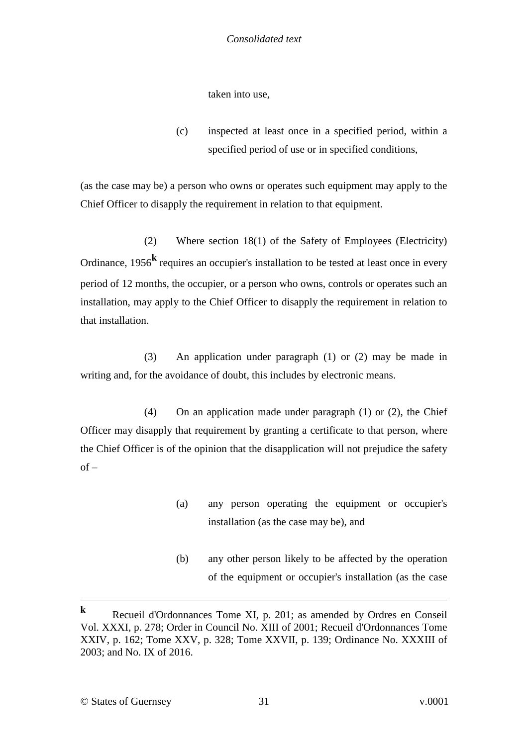taken into use,

(c) inspected at least once in a specified period, within a specified period of use or in specified conditions,

(as the case may be) a person who owns or operates such equipment may apply to the Chief Officer to disapply the requirement in relation to that equipment.

(2) Where section 18(1) of the Safety of Employees (Electricity) Ordinance, 1956**<sup>k</sup>** requires an occupier's installation to be tested at least once in every period of 12 months, the occupier, or a person who owns, controls or operates such an installation, may apply to the Chief Officer to disapply the requirement in relation to that installation.

(3) An application under paragraph (1) or (2) may be made in writing and, for the avoidance of doubt, this includes by electronic means.

(4) On an application made under paragraph (1) or (2), the Chief Officer may disapply that requirement by granting a certificate to that person, where the Chief Officer is of the opinion that the disapplication will not prejudice the safety  $of -$ 

- (a) any person operating the equipment or occupier's installation (as the case may be), and
- (b) any other person likely to be affected by the operation of the equipment or occupier's installation (as the case

<u>.</u>

**<sup>k</sup>** Recueil d'Ordonnances Tome XI, p. 201; as amended by Ordres en Conseil Vol. XXXI, p. 278; Order in Council No. XIII of 2001; Recueil d'Ordonnances Tome XXIV, p. 162; Tome XXV, p. 328; Tome XXVII, p. 139; Ordinance No. XXXIII of 2003; and No. IX of 2016.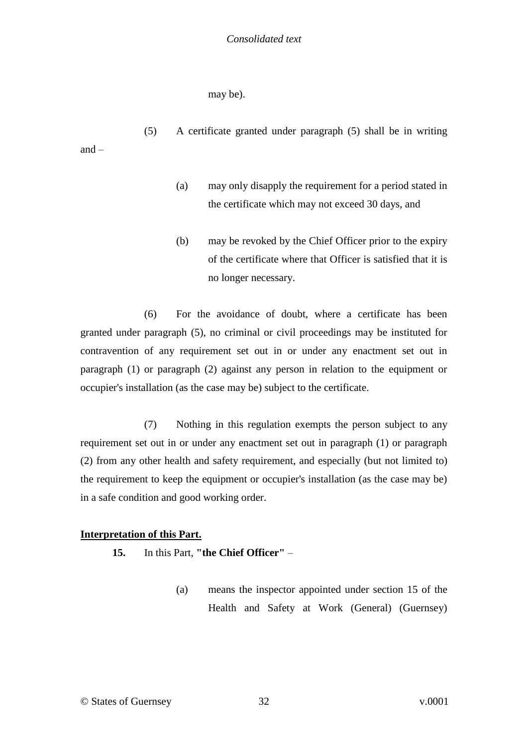may be).

- (5) A certificate granted under paragraph (5) shall be in writing and –
	- (a) may only disapply the requirement for a period stated in the certificate which may not exceed 30 days, and
	- (b) may be revoked by the Chief Officer prior to the expiry of the certificate where that Officer is satisfied that it is no longer necessary.

(6) For the avoidance of doubt, where a certificate has been granted under paragraph (5), no criminal or civil proceedings may be instituted for contravention of any requirement set out in or under any enactment set out in paragraph (1) or paragraph (2) against any person in relation to the equipment or occupier's installation (as the case may be) subject to the certificate.

(7) Nothing in this regulation exempts the person subject to any requirement set out in or under any enactment set out in paragraph (1) or paragraph (2) from any other health and safety requirement, and especially (but not limited to) the requirement to keep the equipment or occupier's installation (as the case may be) in a safe condition and good working order.

## <span id="page-31-0"></span>**Interpretation of this Part.**

- **15.** In this Part, **"the Chief Officer"**
	- (a) means the inspector appointed under section 15 of the Health and Safety at Work (General) (Guernsey)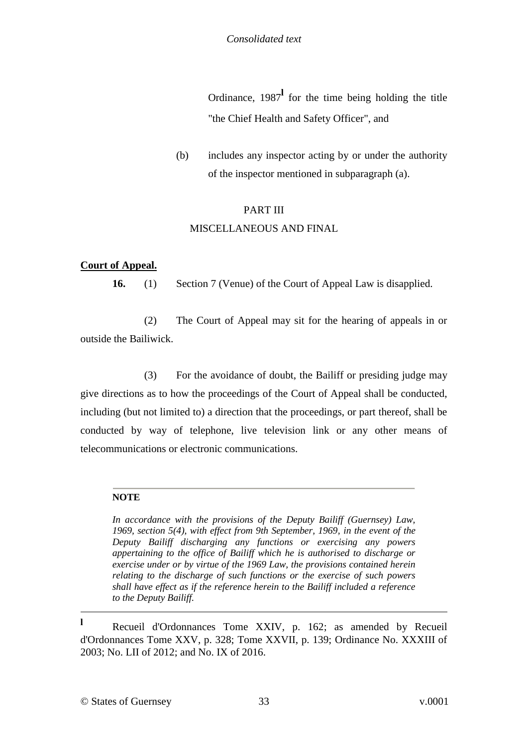Ordinance, 1987**<sup>l</sup>** for the time being holding the title "the Chief Health and Safety Officer", and

(b) includes any inspector acting by or under the authority of the inspector mentioned in subparagraph (a).

## PART III

## MISCELLANEOUS AND FINAL

## <span id="page-32-1"></span><span id="page-32-0"></span>**Court of Appeal.**

**16.** (1) Section 7 (Venue) of the Court of Appeal Law is disapplied.

(2) The Court of Appeal may sit for the hearing of appeals in or outside the Bailiwick.

(3) For the avoidance of doubt, the Bailiff or presiding judge may give directions as to how the proceedings of the Court of Appeal shall be conducted, including (but not limited to) a direction that the proceedings, or part thereof, shall be conducted by way of telephone, live television link or any other means of telecommunications or electronic communications.

#### **NOTE**

*In accordance with the provisions of the Deputy Bailiff (Guernsey) Law, 1969, section 5(4), with effect from 9th September, 1969, in the event of the Deputy Bailiff discharging any functions or exercising any powers appertaining to the office of Bailiff which he is authorised to discharge or exercise under or by virtue of the 1969 Law, the provisions contained herein relating to the discharge of such functions or the exercise of such powers shall have effect as if the reference herein to the Bailiff included a reference to the Deputy Bailiff.*

1

**<sup>l</sup>** Recueil d'Ordonnances Tome XXIV, p. 162; as amended by Recueil d'Ordonnances Tome XXV, p. 328; Tome XXVII, p. 139; Ordinance No. XXXIII of 2003; No. LII of 2012; and No. IX of 2016.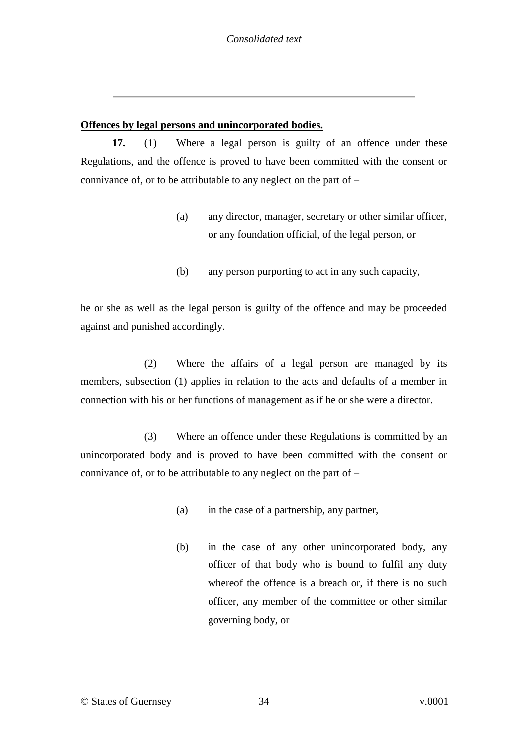#### <span id="page-33-0"></span>**Offences by legal persons and unincorporated bodies.**

**17.** (1) Where a legal person is guilty of an offence under these Regulations, and the offence is proved to have been committed with the consent or connivance of, or to be attributable to any neglect on the part of –

- (a) any director, manager, secretary or other similar officer, or any foundation official, of the legal person, or
- (b) any person purporting to act in any such capacity,

he or she as well as the legal person is guilty of the offence and may be proceeded against and punished accordingly.

(2) Where the affairs of a legal person are managed by its members, subsection (1) applies in relation to the acts and defaults of a member in connection with his or her functions of management as if he or she were a director.

(3) Where an offence under these Regulations is committed by an unincorporated body and is proved to have been committed with the consent or connivance of, or to be attributable to any neglect on the part of –

- (a) in the case of a partnership, any partner,
- (b) in the case of any other unincorporated body, any officer of that body who is bound to fulfil any duty whereof the offence is a breach or, if there is no such officer, any member of the committee or other similar governing body, or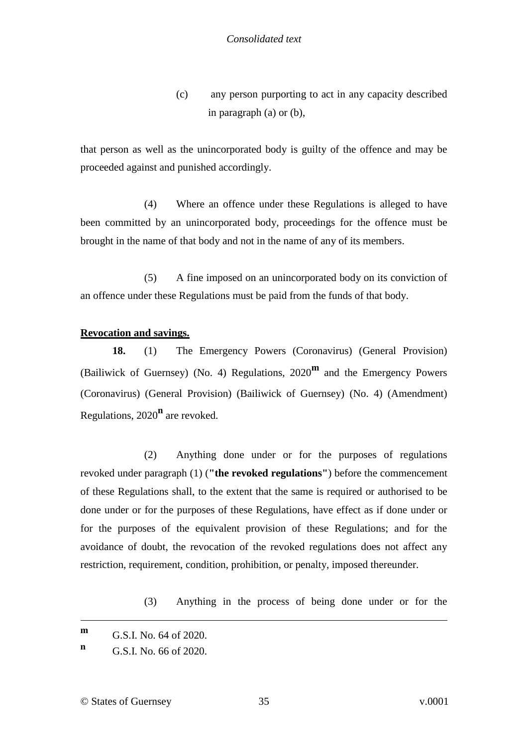(c) any person purporting to act in any capacity described in paragraph (a) or (b),

that person as well as the unincorporated body is guilty of the offence and may be proceeded against and punished accordingly.

(4) Where an offence under these Regulations is alleged to have been committed by an unincorporated body, proceedings for the offence must be brought in the name of that body and not in the name of any of its members.

(5) A fine imposed on an unincorporated body on its conviction of an offence under these Regulations must be paid from the funds of that body.

#### <span id="page-34-0"></span>**Revocation and savings.**

**18.** (1) The Emergency Powers (Coronavirus) (General Provision) (Bailiwick of Guernsey) (No. 4) Regulations, 2020**<sup>m</sup>** and the Emergency Powers (Coronavirus) (General Provision) (Bailiwick of Guernsey) (No. 4) (Amendment) Regulations, 2020**<sup>n</sup>** are revoked.

(2) Anything done under or for the purposes of regulations revoked under paragraph (1) (**"the revoked regulations"**) before the commencement of these Regulations shall, to the extent that the same is required or authorised to be done under or for the purposes of these Regulations, have effect as if done under or for the purposes of the equivalent provision of these Regulations; and for the avoidance of doubt, the revocation of the revoked regulations does not affect any restriction, requirement, condition, prohibition, or penalty, imposed thereunder.

(3) Anything in the process of being done under or for the

1

**m** G.S.I. No. 64 of 2020.

**n** G.S.I. No. 66 of 2020.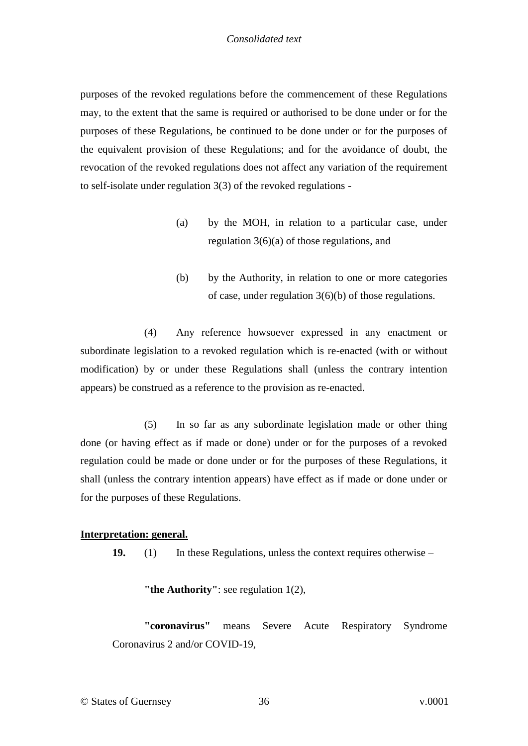purposes of the revoked regulations before the commencement of these Regulations may, to the extent that the same is required or authorised to be done under or for the purposes of these Regulations, be continued to be done under or for the purposes of the equivalent provision of these Regulations; and for the avoidance of doubt, the revocation of the revoked regulations does not affect any variation of the requirement to self-isolate under regulation 3(3) of the revoked regulations -

- (a) by the MOH, in relation to a particular case, under regulation 3(6)(a) of those regulations, and
- (b) by the Authority, in relation to one or more categories of case, under regulation 3(6)(b) of those regulations.

(4) Any reference howsoever expressed in any enactment or subordinate legislation to a revoked regulation which is re-enacted (with or without modification) by or under these Regulations shall (unless the contrary intention appears) be construed as a reference to the provision as re-enacted.

(5) In so far as any subordinate legislation made or other thing done (or having effect as if made or done) under or for the purposes of a revoked regulation could be made or done under or for the purposes of these Regulations, it shall (unless the contrary intention appears) have effect as if made or done under or for the purposes of these Regulations.

#### <span id="page-35-0"></span>**Interpretation: general.**

**19.** (1) In these Regulations, unless the context requires otherwise –

**"the Authority"**: see regulation 1(2),

**"coronavirus"** means Severe Acute Respiratory Syndrome Coronavirus 2 and/or COVID-19,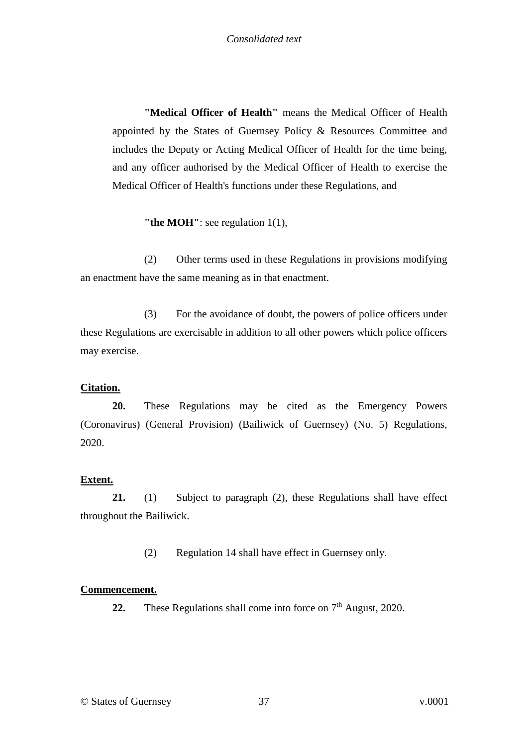**"Medical Officer of Health"** means the Medical Officer of Health appointed by the States of Guernsey Policy & Resources Committee and includes the Deputy or Acting Medical Officer of Health for the time being, and any officer authorised by the Medical Officer of Health to exercise the Medical Officer of Health's functions under these Regulations, and

**"the MOH"**: see regulation 1(1),

(2) Other terms used in these Regulations in provisions modifying an enactment have the same meaning as in that enactment.

(3) For the avoidance of doubt, the powers of police officers under these Regulations are exercisable in addition to all other powers which police officers may exercise.

#### <span id="page-36-0"></span>**Citation.**

**20.** These Regulations may be cited as the Emergency Powers (Coronavirus) (General Provision) (Bailiwick of Guernsey) (No. 5) Regulations, 2020.

## <span id="page-36-1"></span>**Extent.**

**21.** (1) Subject to paragraph (2), these Regulations shall have effect throughout the Bailiwick.

(2) Regulation 14 shall have effect in Guernsey only.

## <span id="page-36-2"></span>**Commencement.**

**22.** These Regulations shall come into force on  $7<sup>th</sup>$  August, 2020.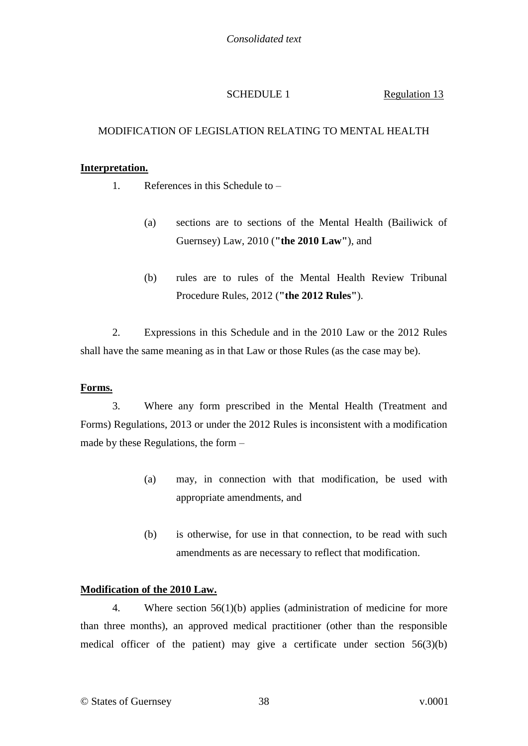## <span id="page-37-0"></span>SCHEDULE 1 [Regulation 13](#page-29-1)

## MODIFICATION OF LEGISLATION RELATING TO MENTAL HEALTH

### **Interpretation.**

- 1. References in this Schedule to
	- (a) sections are to sections of the Mental Health (Bailiwick of Guernsey) Law, 2010 (**"the 2010 Law"**), and
	- (b) rules are to rules of the Mental Health Review Tribunal Procedure Rules, 2012 (**"the 2012 Rules"**).

2. Expressions in this Schedule and in the 2010 Law or the 2012 Rules shall have the same meaning as in that Law or those Rules (as the case may be).

## **Forms.**

3. Where any form prescribed in the Mental Health (Treatment and Forms) Regulations, 2013 or under the 2012 Rules is inconsistent with a modification made by these Regulations, the form –

- (a) may, in connection with that modification, be used with appropriate amendments, and
- (b) is otherwise, for use in that connection, to be read with such amendments as are necessary to reflect that modification.

## **Modification of the 2010 Law.**

4. Where section 56(1)(b) applies (administration of medicine for more than three months), an approved medical practitioner (other than the responsible medical officer of the patient) may give a certificate under section  $56(3)(b)$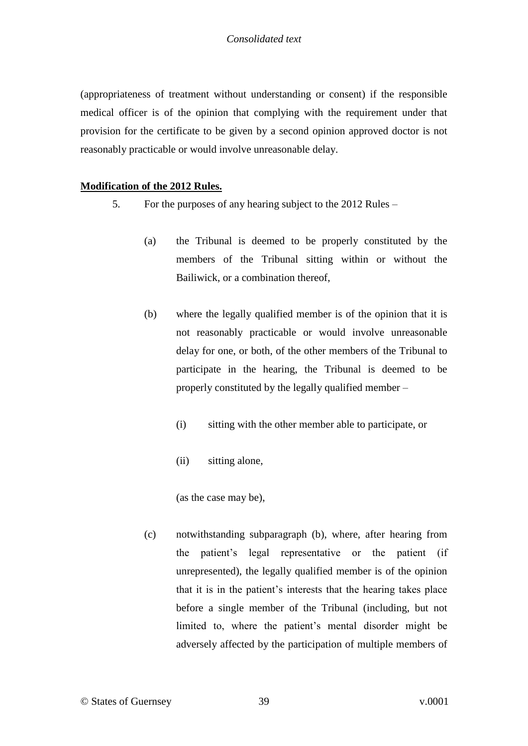(appropriateness of treatment without understanding or consent) if the responsible medical officer is of the opinion that complying with the requirement under that provision for the certificate to be given by a second opinion approved doctor is not reasonably practicable or would involve unreasonable delay.

## **Modification of the 2012 Rules.**

- 5. For the purposes of any hearing subject to the 2012 Rules
	- (a) the Tribunal is deemed to be properly constituted by the members of the Tribunal sitting within or without the Bailiwick, or a combination thereof,
	- (b) where the legally qualified member is of the opinion that it is not reasonably practicable or would involve unreasonable delay for one, or both, of the other members of the Tribunal to participate in the hearing, the Tribunal is deemed to be properly constituted by the legally qualified member –
		- (i) sitting with the other member able to participate, or
		- (ii) sitting alone,

(as the case may be),

(c) notwithstanding subparagraph (b), where, after hearing from the patient's legal representative or the patient (if unrepresented), the legally qualified member is of the opinion that it is in the patient's interests that the hearing takes place before a single member of the Tribunal (including, but not limited to, where the patient's mental disorder might be adversely affected by the participation of multiple members of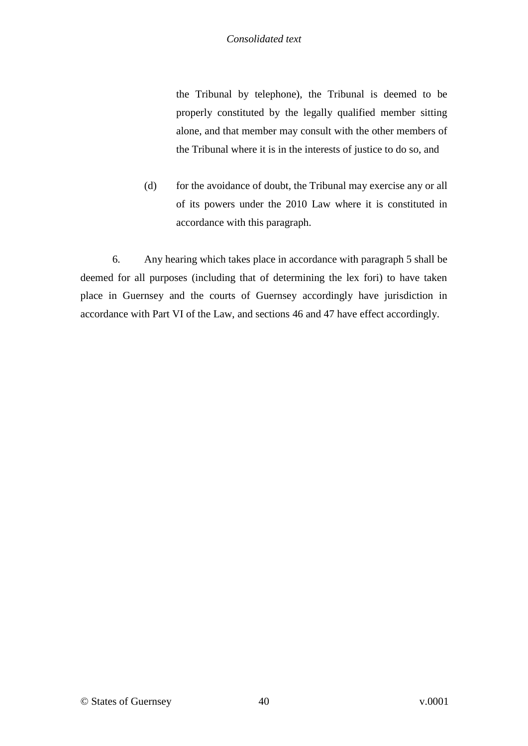the Tribunal by telephone), the Tribunal is deemed to be properly constituted by the legally qualified member sitting alone, and that member may consult with the other members of the Tribunal where it is in the interests of justice to do so, and

(d) for the avoidance of doubt, the Tribunal may exercise any or all of its powers under the 2010 Law where it is constituted in accordance with this paragraph.

6. Any hearing which takes place in accordance with paragraph 5 shall be deemed for all purposes (including that of determining the lex fori) to have taken place in Guernsey and the courts of Guernsey accordingly have jurisdiction in accordance with Part VI of the Law, and sections 46 and 47 have effect accordingly.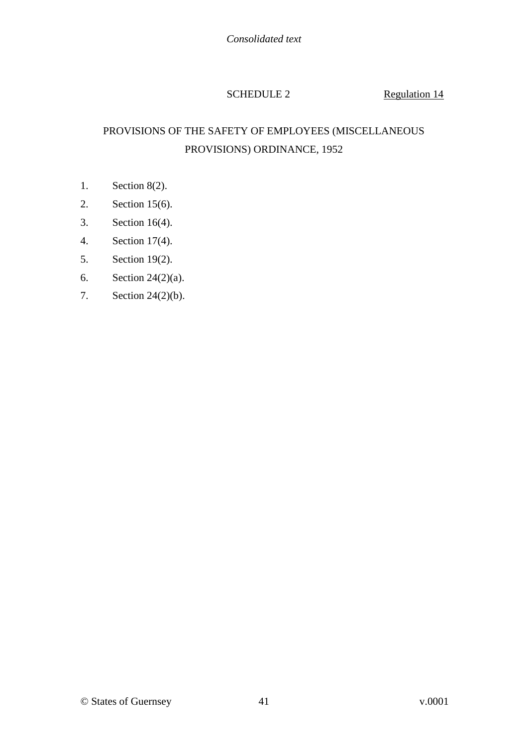## <span id="page-40-0"></span>SCHEDULE 2 [Regulation 14](#page-29-2)

## PROVISIONS OF THE SAFETY OF EMPLOYEES (MISCELLANEOUS PROVISIONS) ORDINANCE, 1952

- 1. Section 8(2).
- 2. Section 15(6).
- 3. Section 16(4).
- 4. Section 17(4).
- 5. Section 19(2).
- 6. Section 24(2)(a).
- 7. Section 24(2)(b).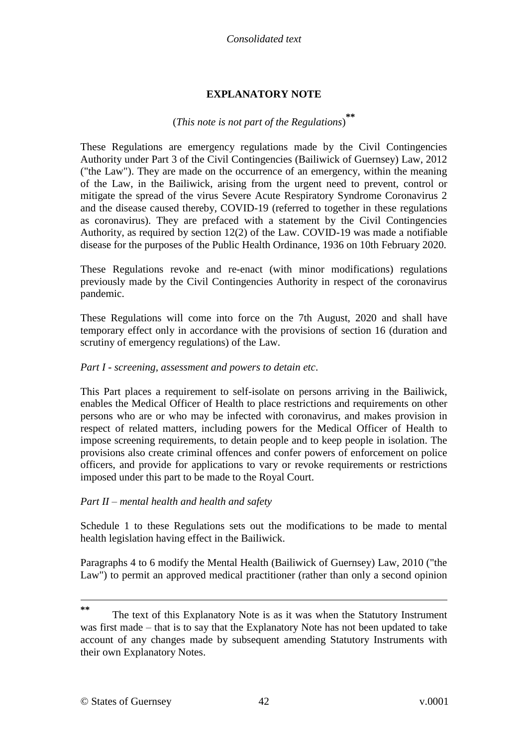## **EXPLANATORY NOTE**

## (*This note is not part of the Regulations*) **\*\***

<span id="page-41-0"></span>These Regulations are emergency regulations made by the Civil Contingencies Authority under Part 3 of the Civil Contingencies (Bailiwick of Guernsey) Law, 2012 ("the Law"). They are made on the occurrence of an emergency, within the meaning of the Law, in the Bailiwick, arising from the urgent need to prevent, control or mitigate the spread of the virus Severe Acute Respiratory Syndrome Coronavirus 2 and the disease caused thereby, COVID-19 (referred to together in these regulations as coronavirus). They are prefaced with a statement by the Civil Contingencies Authority, as required by section 12(2) of the Law. COVID-19 was made a notifiable disease for the purposes of the Public Health Ordinance, 1936 on 10th February 2020.

These Regulations revoke and re-enact (with minor modifications) regulations previously made by the Civil Contingencies Authority in respect of the coronavirus pandemic.

These Regulations will come into force on the 7th August, 2020 and shall have temporary effect only in accordance with the provisions of section 16 (duration and scrutiny of emergency regulations) of the Law.

## *Part I - screening, assessment and powers to detain etc*.

This Part places a requirement to self-isolate on persons arriving in the Bailiwick, enables the Medical Officer of Health to place restrictions and requirements on other persons who are or who may be infected with coronavirus, and makes provision in respect of related matters, including powers for the Medical Officer of Health to impose screening requirements, to detain people and to keep people in isolation. The provisions also create criminal offences and confer powers of enforcement on police officers, and provide for applications to vary or revoke requirements or restrictions imposed under this part to be made to the Royal Court.

#### *Part II – mental health and health and safety*

Schedule 1 to these Regulations sets out the modifications to be made to mental health legislation having effect in the Bailiwick.

Paragraphs 4 to 6 modify the Mental Health (Bailiwick of Guernsey) Law, 2010 ("the Law") to permit an approved medical practitioner (rather than only a second opinion

<u>.</u>

**<sup>\*\*</sup>** The text of this Explanatory Note is as it was when the Statutory Instrument was first made – that is to say that the Explanatory Note has not been updated to take account of any changes made by subsequent amending Statutory Instruments with their own Explanatory Notes.